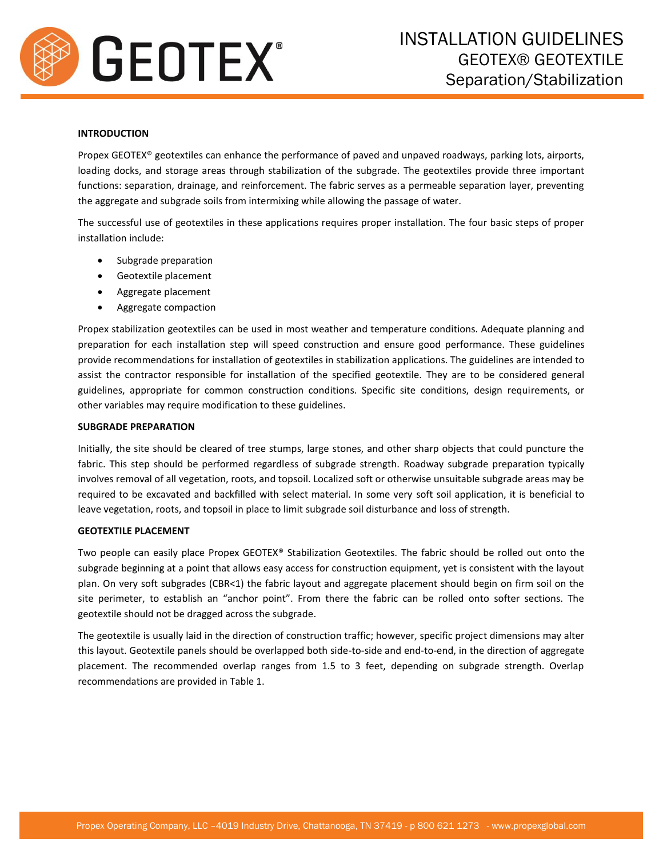

## **INTRODUCTION**

Propex GEOTEX® geotextiles can enhance the performance of paved and unpaved roadways, parking lots, airports, loading docks, and storage areas through stabilization of the subgrade. The geotextiles provide three important functions: separation, drainage, and reinforcement. The fabric serves as a permeable separation layer, preventing the aggregate and subgrade soils from intermixing while allowing the passage of water.

The successful use of geotextiles in these applications requires proper installation. The four basic steps of proper installation include:

- Subgrade preparation
- Geotextile placement
- Aggregate placement
- Aggregate compaction

Propex stabilization geotextiles can be used in most weather and temperature conditions. Adequate planning and preparation for each installation step will speed construction and ensure good performance. These guidelines provide recommendations for installation of geotextiles in stabilization applications. The guidelines are intended to assist the contractor responsible for installation of the specified geotextile. They are to be considered general guidelines, appropriate for common construction conditions. Specific site conditions, design requirements, or other variables may require modification to these guidelines.

## **SUBGRADE PREPARATION**

Initially, the site should be cleared of tree stumps, large stones, and other sharp objects that could puncture the fabric. This step should be performed regardless of subgrade strength. Roadway subgrade preparation typically involves removal of all vegetation, roots, and topsoil. Localized soft or otherwise unsuitable subgrade areas may be required to be excavated and backfilled with select material. In some very soft soil application, it is beneficial to leave vegetation, roots, and topsoil in place to limit subgrade soil disturbance and loss of strength.

## **GEOTEXTILE PLACEMENT**

Two people can easily place Propex GEOTEX® Stabilization Geotextiles. The fabric should be rolled out onto the subgrade beginning at a point that allows easy access for construction equipment, yet is consistent with the layout plan. On very soft subgrades (CBR<1) the fabric layout and aggregate placement should begin on firm soil on the site perimeter, to establish an "anchor point". From there the fabric can be rolled onto softer sections. The geotextile should not be dragged across the subgrade.

The geotextile is usually laid in the direction of construction traffic; however, specific project dimensions may alter this layout. Geotextile panels should be overlapped both side-to-side and end-to-end, in the direction of aggregate placement. The recommended overlap ranges from 1.5 to 3 feet, depending on subgrade strength. Overlap recommendations are provided in Table 1.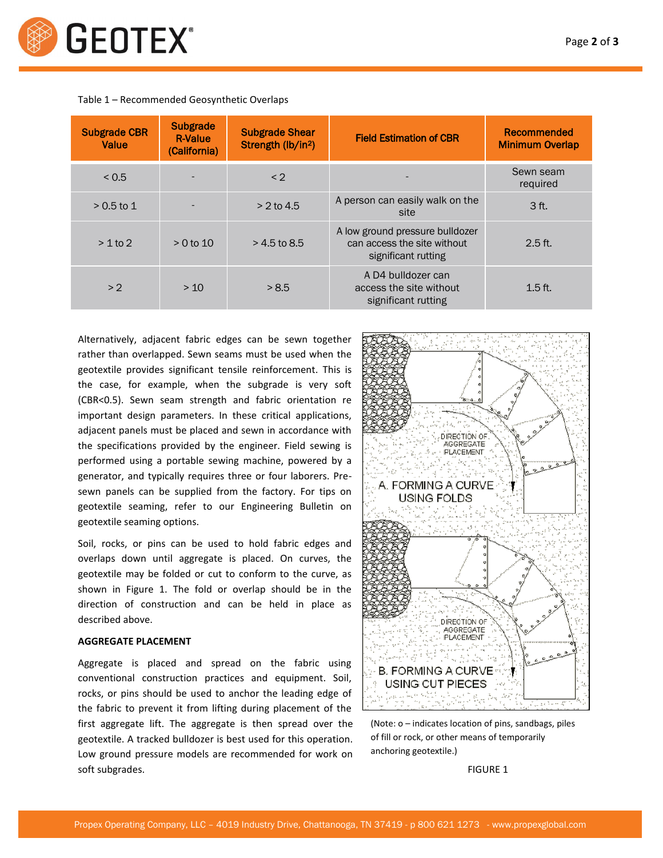

| <b>Subgrade CBR</b><br>Value | <b>Subgrade</b><br><b>R-Value</b><br>(California) | <b>Subgrade Shear</b><br>Strength (lb/in <sup>2</sup> ) | <b>Field Estimation of CBR</b>                                                        | Recommended<br><b>Minimum Overlap</b> |
|------------------------------|---------------------------------------------------|---------------------------------------------------------|---------------------------------------------------------------------------------------|---------------------------------------|
| < 0.5                        |                                                   | $\leq$ 2                                                |                                                                                       | Sewn seam<br>required                 |
| $> 0.5$ to 1                 |                                                   | $> 2$ to 4.5                                            | A person can easily walk on the<br>site                                               | 3 <sub>ft</sub>                       |
| $> 1$ to 2                   | $> 0$ to 10                                       | $>$ 4.5 to 8.5                                          | A low ground pressure bulldozer<br>can access the site without<br>significant rutting | $2.5$ ft.                             |
| > 2                          | >10                                               | > 8.5                                                   | A D4 bulldozer can<br>access the site without<br>significant rutting                  | $1.5$ ft.                             |

Alternatively, adjacent fabric edges can be sewn together rather than overlapped. Sewn seams must be used when the geotextile provides significant tensile reinforcement. This is the case, for example, when the subgrade is very soft (CBR<0.5). Sewn seam strength and fabric orientation re important design parameters. In these critical applications, adjacent panels must be placed and sewn in accordance with the specifications provided by the engineer. Field sewing is performed using a portable sewing machine, powered by a generator, and typically requires three or four laborers. Presewn panels can be supplied from the factory. For tips on geotextile seaming, refer to our Engineering Bulletin on geotextile seaming options.

Soil, rocks, or pins can be used to hold fabric edges and overlaps down until aggregate is placed. On curves, the geotextile may be folded or cut to conform to the curve, as shown in Figure 1. The fold or overlap should be in the direction of construction and can be held in place as described above.

## **AGGREGATE PLACEMENT**

Aggregate is placed and spread on the fabric using conventional construction practices and equipment. Soil, rocks, or pins should be used to anchor the leading edge of the fabric to prevent it from lifting during placement of the first aggregate lift. The aggregate is then spread over the geotextile. A tracked bulldozer is best used for this operation. Low ground pressure models are recommended for work on soft subgrades. The state of the state of the state of the state of the state of the state of the state of the state of the state of the state of the state of the state of the state of the state of the state of the state o



<sup>(</sup>Note: o – indicates location of pins, sandbags, piles of fill or rock, or other means of temporarily anchoring geotextile.)